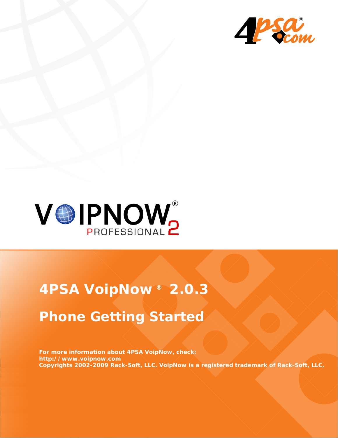



# **4PSA VoipNow ® 2.0.3 Phone Getting Started**

**For more information about 4PSA VoipNow, check: http://www.voipnow.com Copyrights 2002-2009 Rack-Soft, LLC. VoipNow is a registered trademark of Rack-Soft, LLC.**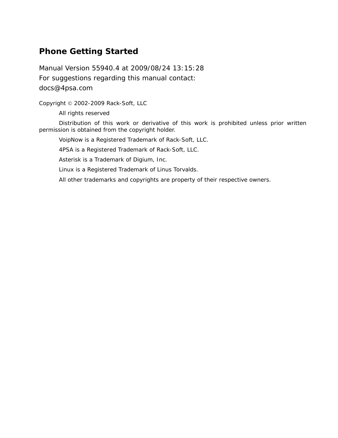### **Phone Getting Started**

Manual Version 55940.4 at 2009/08/24 13:15:28 For suggestions regarding this manual contact: docs@4psa.com

Copyright © 2002-2009 Rack-Soft, LLC

All rights reserved

Distribution of this work or derivative of this work is prohibited unless prior written permission is obtained from the copyright holder.

VoipNow is a Registered Trademark of Rack-Soft, LLC.

4PSA is a Registered Trademark of Rack-Soft, LLC.

Asterisk is a Trademark of Digium, Inc.

Linux is a Registered Trademark of Linus Torvalds.

All other trademarks and copyrights are property of their respective owners.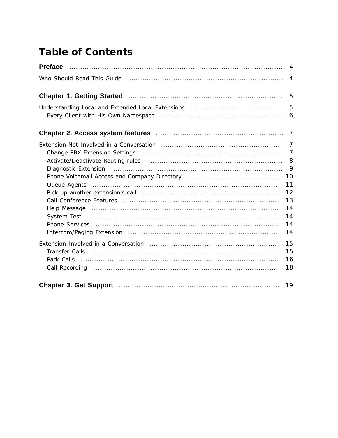## **Table of Contents**

|                                                                                                                              | $\overline{4}$                                         |
|------------------------------------------------------------------------------------------------------------------------------|--------------------------------------------------------|
| Chapter 1. Getting Started <b>Material Chapter 1. Getting Started 1. 1997</b>                                                |                                                        |
|                                                                                                                              | 5                                                      |
|                                                                                                                              |                                                        |
| Help Message (a) continuous contracts and the Message (a) and the material contracts and the Message                         | 8<br>9<br>10<br>11<br>12<br>13<br>14<br>14<br>14<br>14 |
| Transfer Calls (1) 100 million (1) 100 million (1) 100 million (1) 100 million (1) 100 million (1) 100 million<br>Park Calls | 15<br>15<br>16<br>18                                   |
|                                                                                                                              | 19                                                     |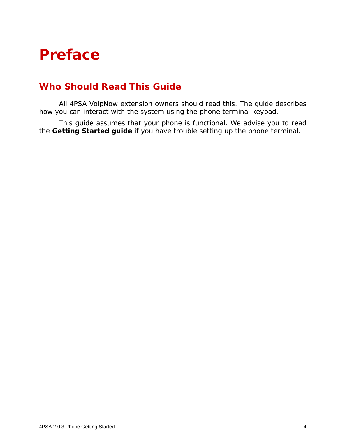## <span id="page-3-0"></span>**Preface**

## <span id="page-3-1"></span>**Who Should Read This Guide**

All 4PSA VoipNow extension owners should read this. The guide describes how you can interact with the system using the phone terminal keypad.

This guide assumes that your phone is functional. We advise you to read the **Getting Started guide** if you have trouble setting up the phone terminal.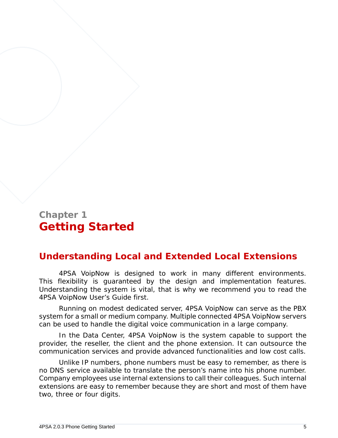## <span id="page-4-0"></span>**Chapter 1 Getting Started**

## <span id="page-4-1"></span>**Understanding Local and Extended Local Extensions**

4PSA VoipNow is designed to work in many different environments. This flexibility is guaranteed by the design and implementation features. Understanding the system is vital, that is why we recommend you to read the 4PSA VoipNow User's Guide first.

Running on modest dedicated server, 4PSA VoipNow can serve as the PBX system for a small or medium company. Multiple connected 4PSA VoipNow servers can be used to handle the digital voice communication in a large company.

In the Data Center, 4PSA VoipNow is the system capable to support the provider, the reseller, the client and the phone extension. It can outsource the communication services and provide advanced functionalities and low cost calls.

Unlike IP numbers, phone numbers must be easy to remember, as there is no DNS service available to translate the person's name into his phone number. Company employees use internal extensions to call their colleagues. Such internal extensions are easy to remember because they are short and most of them have two, three or four digits.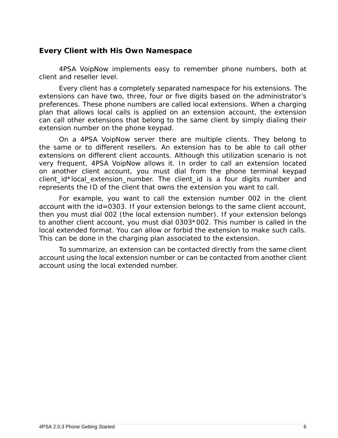#### <span id="page-5-0"></span>**Every Client with His Own Namespace**

4PSA VoipNow implements easy to remember phone numbers, both at client and reseller level.

Every client has a completely separated namespace for his extensions. The extensions can have two, three, four or five digits based on the administrator's preferences. These phone numbers are called local extensions. When a charging plan that allows local calls is applied on an extension account, the extension can call other extensions that belong to the same client by simply dialing their extension number on the phone keypad.

On a 4PSA VoipNow server there are multiple clients. They belong to the same or to different resellers. An extension has to be able to call other extensions on different client accounts. Although this utilization scenario is not very frequent, 4PSA VoipNow allows it. In order to call an extension located on another client account, you must dial from the phone terminal keypad client id\*local extension number. The client id is a four digits number and represents the ID of the client that owns the extension you want to call.

For example, you want to call the extension number 002 in the client account with the id=0303. If your extension belongs to the same client account, then you must dial 002 (the local extension number). If your extension belongs to another client account, you must dial 0303\*002. This number is called in the local extended format. You can allow or forbid the extension to make such calls. This can be done in the charging plan associated to the extension.

To summarize, an extension can be contacted directly from the same client account using the local extension number or can be contacted from another client account using the local extended number.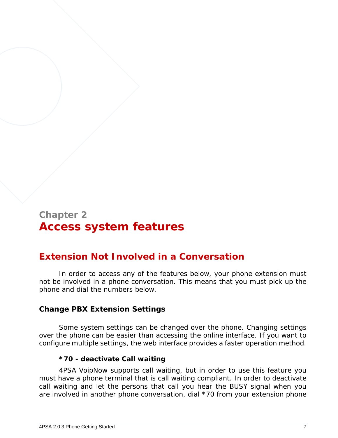## <span id="page-6-0"></span>**Chapter 2 Access system features**

## <span id="page-6-1"></span>**Extension Not Involved in a Conversation**

In order to access any of the features below, your phone extension must not be involved in a phone conversation. This means that you must pick up the phone and dial the numbers below.

#### <span id="page-6-2"></span>**Change PBX Extension Settings**

Some system settings can be changed over the phone. Changing settings over the phone can be easier than accessing the online interface. If you want to configure multiple settings, the web interface provides a faster operation method.

#### **\*70 - deactivate Call waiting**

4PSA VoipNow supports call waiting, but in order to use this feature you must have a phone terminal that is call waiting compliant. In order to deactivate call waiting and let the persons that call you hear the BUSY signal when you are involved in another phone conversation, dial \*70 from your extension phone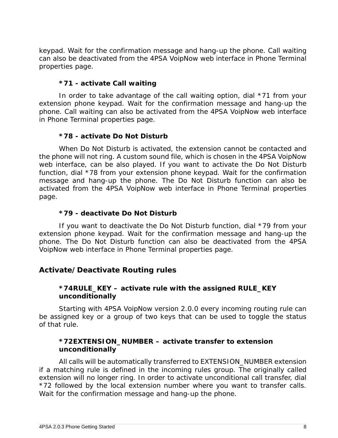keypad. Wait for the confirmation message and hang-up the phone. Call waiting can also be deactivated from the 4PSA VoipNow web interface in Phone Terminal properties page.

#### **\*71 - activate Call waiting**

In order to take advantage of the call waiting option, dial \*71 from your extension phone keypad. Wait for the confirmation message and hang-up the phone. Call waiting can also be activated from the 4PSA VoipNow web interface in Phone Terminal properties page.

#### **\*78 - activate Do Not Disturb**

When Do Not Disturb is activated, the extension cannot be contacted and the phone will not ring. A custom sound file, which is chosen in the 4PSA VoipNow web interface, can be also played. If you want to activate the Do Not Disturb function, dial \*78 from your extension phone keypad. Wait for the confirmation message and hang-up the phone. The Do Not Disturb function can also be activated from the 4PSA VoipNow web interface in Phone Terminal properties page.

#### **\*79 - deactivate Do Not Disturb**

If you want to deactivate the Do Not Disturb function, dial \*79 from your extension phone keypad. Wait for the confirmation message and hang-up the phone. The Do Not Disturb function can also be deactivated from the 4PSA VoipNow web interface in Phone Terminal properties page.

#### <span id="page-7-0"></span>**Activate/Deactivate Routing rules**

**\*74RULE\_KEY – activate rule with the assigned RULE\_KEY unconditionally**

Starting with 4PSA VoipNow version 2.0.0 every incoming routing rule can be assigned key or a group of two keys that can be used to toggle the status of that rule.

**\*72EXTENSION\_NUMBER – activate transfer to extension unconditionally**

All calls will be automatically transferred to EXTENSION\_NUMBER extension if a matching rule is defined in the incoming rules group. The originally called extension will no longer ring. In order to activate unconditional call transfer, dial \*72 followed by the local extension number where you want to transfer calls. Wait for the confirmation message and hang-up the phone.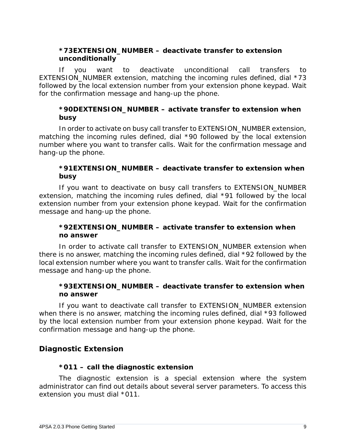**\*73EXTENSION\_NUMBER – deactivate transfer to extension unconditionally**

If you want to deactivate unconditional call transfers to EXTENSION NUMBER extension, matching the incoming rules defined, dial \*73 followed by the local extension number from your extension phone keypad. Wait for the confirmation message and hang-up the phone.

**\*90DEXTENSION\_NUMBER – activate transfer to extension when busy**

In order to activate on busy call transfer to EXTENSION\_NUMBER extension, matching the incoming rules defined, dial \*90 followed by the local extension number where you want to transfer calls. Wait for the confirmation message and hang-up the phone.

**\*91EXTENSION\_NUMBER – deactivate transfer to extension when busy**

If you want to deactivate on busy call transfers to EXTENSION\_NUMBER extension, matching the incoming rules defined, dial \*91 followed by the local extension number from your extension phone keypad. Wait for the confirmation message and hang-up the phone.

**\*92EXTENSION\_NUMBER – activate transfer to extension when no answer**

In order to activate call transfer to EXTENSION\_NUMBER extension when there is no answer, matching the incoming rules defined, dial \*92 followed by the local extension number where you want to transfer calls. Wait for the confirmation message and hang-up the phone.

**\*93EXTENSION\_NUMBER – deactivate transfer to extension when no answer**

If you want to deactivate call transfer to EXTENSION\_NUMBER extension when there is no answer, matching the incoming rules defined, dial \*93 followed by the local extension number from your extension phone keypad. Wait for the confirmation message and hang-up the phone.

<span id="page-8-0"></span>**Diagnostic Extension**

**\*011 – call the diagnostic extension**

The diagnostic extension is a special extension where the system administrator can find out details about several server parameters. To access this extension you must dial \*011.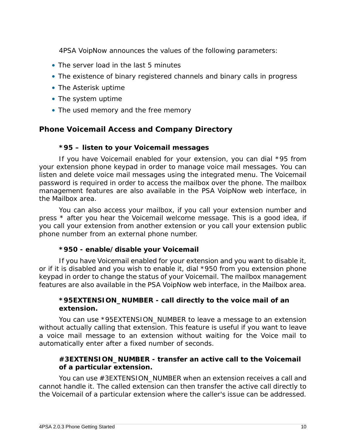4PSA VoipNow announces the values of the following parameters:

- The server load in the last 5 minutes
- The existence of binary registered channels and binary calls in progress
- The Asterisk uptime
- The system uptime
- The used memory and the free memory

<span id="page-9-0"></span>**Phone Voicemail Access and Company Directory**

#### **\*95 – listen to your Voicemail messages**

If you have Voicemail enabled for your extension, you can dial \*95 from your extension phone keypad in order to manage voice mail messages. You can listen and delete voice mail messages using the integrated menu. The Voicemail password is required in order to access the mailbox over the phone. The mailbox management features are also available in the PSA VoipNow web interface, in the Mailbox area.

You can also access your mailbox, if you call your extension number and press \* after you hear the Voicemail welcome message. This is a good idea, if you call your extension from another extension or you call your extension public phone number from an external phone number.

**\*950 - enable/disable your Voicemail**

If you have Voicemail enabled for your extension and you want to disable it, or if it is disabled and you wish to enable it, dial \*950 from you extension phone keypad in order to change the status of your Voicemail. The mailbox management features are also available in the PSA VoipNow web interface, in the Mailbox area.

**\*95EXTENSION\_NUMBER - call directly to the voice mail of an extension.**

You can use \*95EXTENSION\_NUMBER to leave a message to an extension without actually calling that extension. This feature is useful if you want to leave a voice mail message to an extension without waiting for the Voice mail to automatically enter after a fixed number of seconds.

**#3EXTENSION\_NUMBER - transfer an active call to the Voicemail of a particular extension.**

You can use #3EXTENSION\_NUMBER when an extension receives a call and cannot handle it. The called extension can then transfer the active call directly to the Voicemail of a particular extension where the caller's issue can be addressed.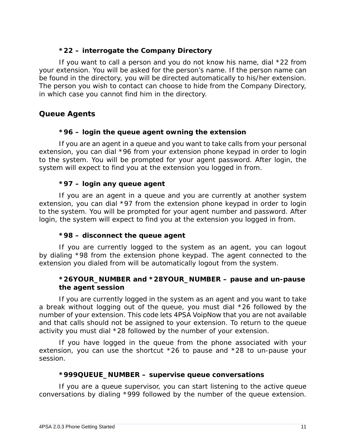#### **\*22 – interrogate the Company Directory**

If you want to call a person and you do not know his name, dial \*22 from your extension. You will be asked for the person's name. If the person name can be found in the directory, you will be directed automatically to his/her extension. The person you wish to contact can choose to hide from the Company Directory, in which case you cannot find him in the directory.

<span id="page-10-0"></span>**Queue Agents**

**\*96 – login the queue agent owning the extension**

If you are an agent in a queue and you want to take calls from your personal extension, you can dial \*96 from your extension phone keypad in order to login to the system. You will be prompted for your agent password. After login, the system will expect to find you at the extension you logged in from.

**\*97 – login any queue agent**

If you are an agent in a queue and you are currently at another system extension, you can dial \*97 from the extension phone keypad in order to login to the system. You will be prompted for your agent number and password. After login, the system will expect to find you at the extension you logged in from.

**\*98 – disconnect the queue agent**

If you are currently logged to the system as an agent, you can logout by dialing \*98 from the extension phone keypad. The agent connected to the extension you dialed from will be automatically logout from the system.

**\*26YOUR\_NUMBER and \*28YOUR\_NUMBER – pause and un-pause the agent session**

If you are currently logged in the system as an agent and you want to take a break without logging out of the queue, you must dial \*26 followed by the number of your extension. This code lets 4PSA VoipNow that you are not available and that calls should not be assigned to your extension. To return to the queue activity you must dial \*28 followed by the number of your extension.

If you have logged in the queue from the phone associated with your extension, you can use the shortcut \*26 to pause and \*28 to un-pause your session.

**\*999QUEUE\_NUMBER – supervise queue conversations**

If you are a queue supervisor, you can start listening to the active queue conversations by dialing \*999 followed by the number of the queue extension.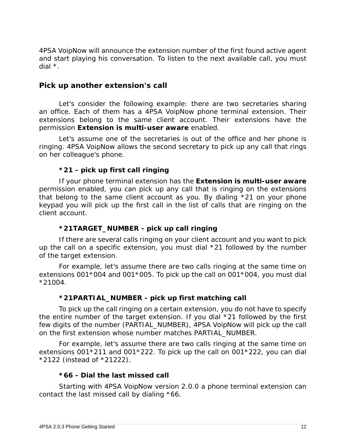4PSA VoipNow will announce the extension number of the first found active agent and start playing his conversation. To listen to the next available call, you must dial \*.

#### <span id="page-11-0"></span>**Pick up another extension's call**

Let's consider the following example: there are two secretaries sharing an office. Each of them has a 4PSA VoipNow phone terminal extension. Their extensions belong to the same client account. Their extensions have the permission **Extension is multi-user aware** enabled.

Let's assume one of the secretaries is out of the office and her phone is ringing. 4PSA VoipNow allows the second secretary to *pick up* any call that rings on her colleague's phone.

#### **\*21 - pick up first call ringing**

If your phone terminal extension has the **Extension is multi-user aware** permission enabled, you can pick up any call that is ringing on the extensions that belong to the same client account as you. By dialing \*21 on your phone keypad you will pick up the first call in the list of calls that are ringing on the client account.

#### **\*21TARGET\_NUMBER - pick up call ringing**

If there are several calls ringing on your client account and you want to pick up the call on a specific extension, you must dial \*21 followed by the number of the target extension.

For example, let's assume there are two calls ringing at the same time on extensions 001\*004 and 001\*005. To pick up the call on 001\*004, you must dial \*21004.

#### **\*21PARTIAL\_NUMBER - pick up first matching call**

To pick up the call ringing on a certain extension, you do not have to specify the entire number of the target extension. If you dial \*21 followed by the first few digits of the number (PARTIAL\_NUMBER), 4PSA VoipNow will pick up the call on the first extension whose number matches PARTIAL\_NUMBER.

For example, let's assume there are two calls ringing at the same time on extensions 001\*211 and 001\*222. To pick up the call on 001\*222, you can dial \*2122 (instead of \*21222).

#### **\*66 - Dial the last missed call**

Starting with 4PSA VoipNow version 2.0.0 a phone terminal extension can contact the last missed call by dialing \*66.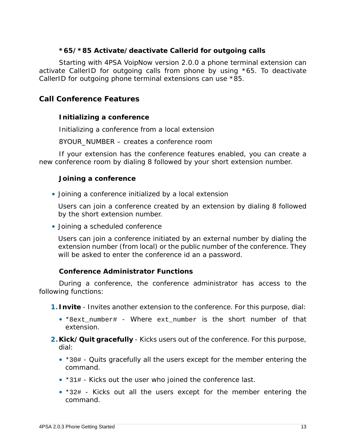**\*65/\*85 Activate/deactivate Callerid for outgoing calls**

Starting with 4PSA VoipNow version 2.0.0 a phone terminal extension can activate CallerID for outgoing calls from phone by using \*65. To deactivate CallerID for outgoing phone terminal extensions can use \*85.

<span id="page-12-0"></span>**Call Conference Features**

**Initializing a conference**

Initializing a conference from a local extension

8YOUR\_NUMBER – creates a conference room

If your extension has the conference features enabled, you can create a new conference room by dialing 8 followed by your short extension number.

**Joining a conference**

• Joining a conference initialized by a local extension

Users can join a conference created by an extension by dialing 8 followed by the short extension number.

• Joining a scheduled conference

Users can join a conference initiated by an external number by dialing the extension number (from local) or the public number of the conference. They will be asked to enter the conference id an a password.

**Conference Administrator Functions**

During a conference, the conference administrator has access to the following functions:

**1.Invite** - Invites another extension to the conference. For this purpose, dial:

- \*8ext\_number# Where ext number is the short number of that extension.
- **2.Kick/Quit gracefully** Kicks users out of the conference. For this purpose, dial:
	- \*30# Quits gracefully all the users except for the member entering the command.
	- \*31# Kicks out the user who joined the conference last.
	- \*32# Kicks out all the users except for the member entering the command.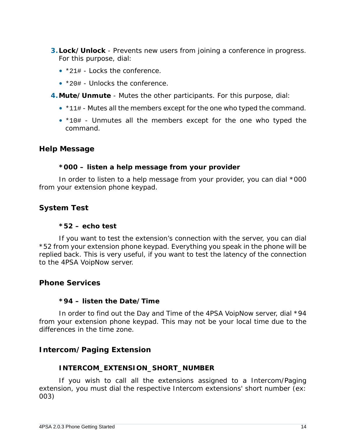- **3.Lock/Unlock** Prevents new users from joining a conference in progress. For this purpose, dial:
	- \*21# Locks the conference.
	- \*20# Unlocks the conference.
- **4.Mute/Unmute** Mutes the other participants. For this purpose, dial:
	- \*11# Mutes all the members except for the one who typed the command.
	- \*10# Unmutes all the members except for the one who typed the command.

<span id="page-13-0"></span>**Help Message**

**\*000 – listen a help message from your provider**

In order to listen to a help message from your provider, you can dial \*000 from your extension phone keypad.

<span id="page-13-1"></span>**System Test**

**\*52 – echo test**

If you want to test the extension's connection with the server, you can dial \*52 from your extension phone keypad. Everything you speak in the phone will be replied back. This is very useful, if you want to test the latency of the connection to the 4PSA VoipNow server.

<span id="page-13-2"></span>**Phone Services**

**\*94 – listen the Date/Time**

In order to find out the Day and Time of the 4PSA VoipNow server, dial \*94 from your extension phone keypad. This may not be your local time due to the differences in the time zone.

<span id="page-13-3"></span>**Intercom/Paging Extension**

#### **INTERCOM\_EXTENSION\_SHORT\_NUMBER**

If you wish to call all the extensions assigned to a Intercom/Paging extension, you must dial the respective Intercom extensions' short number (ex: 003)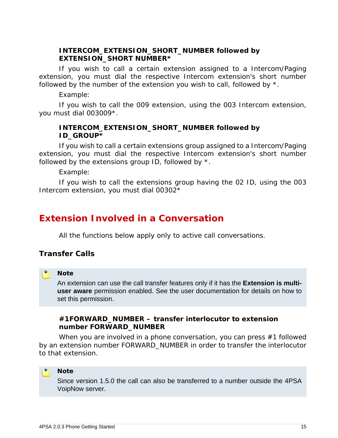#### **INTERCOM\_EXTENSION\_SHORT\_NUMBER followed by EXTENSION\_SHORT NUMBER\***

If you wish to call a certain extension assigned to a Intercom/Paging extension, you must dial the respective Intercom extension's short number followed by the number of the extension you wish to call, followed by  $*$ .

Example:

If you wish to call the 009 extension, using the 003 Intercom extension, you must dial 003009\*.

**INTERCOM\_EXTENSION\_SHORT\_NUMBER followed by ID\_GROUP\***

If you wish to call a certain extensions group assigned to a Intercom/Paging extension, you must dial the respective Intercom extension's short number followed by the extensions group ID, followed by  $*$ .

Example:

If you wish to call the extensions group having the 02 ID, using the 003 Intercom extension, you must dial 00302\*

### <span id="page-14-0"></span>**Extension Involved in a Conversation**

All the functions below apply only to active call conversations.

<span id="page-14-1"></span>**Transfer Calls**

#### ro i **Note**

An extension can use the call transfer features only if it has the **Extension is multiuser aware** permission enabled. See the user documentation for details on how to set this permission.

**#1FORWARD\_NUMBER – transfer interlocutor to extension number FORWARD\_NUMBER**

When you are involved in a phone conversation, you can press #1 followed by an extension number FORWARD NUMBER in order to transfer the interlocutor to that extension.

#### **Note**

Since version 1.5.0 the call can also be transferred to a number outside the 4PSA VoipNow server.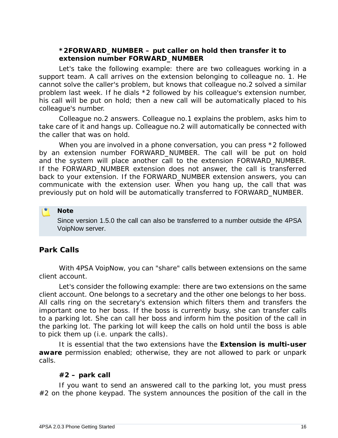**\*2FORWARD\_NUMBER – put caller on hold then transfer it to extension number FORWARD\_NUMBER**

Let's take the following example: there are two colleagues working in a support team. A call arrives on the extension belonging to colleague no. 1. He cannot solve the caller's problem, but knows that colleague no.2 solved a similar problem last week. If he dials \*2 followed by his colleague's extension number, his call will be put on hold; then a new call will be automatically placed to his colleague's number.

Colleague no.2 answers. Colleague no.1 explains the problem, asks him to take care of it and hangs up. Colleague no.2 will automatically be connected with the caller that was on hold.

When you are involved in a phone conversation, you can press  $*2$  followed by an extension number FORWARD NUMBER. The call will be put on hold and the system will place another call to the extension FORWARD\_NUMBER. If the FORWARD\_NUMBER extension does not answer, the call is transferred back to your extension. If the FORWARD NUMBER extension answers, you can communicate with the extension user. When you hang up, the call that was previously put on hold will be automatically transferred to FORWARD\_NUMBER.

Since version 1.5.0 the call can also be transferred to a number outside the 4PSA VoipNow server.

#### <span id="page-15-0"></span>**Park Calls**

**Note**

With 4PSA VoipNow, you can "share" calls between extensions on the same client account.

Let's consider the following example: there are two extensions on the same client account. One belongs to a secretary and the other one belongs to her boss. All calls ring on the secretary's extension which filters them and transfers the important one to her boss. If the boss is currently busy, she can transfer calls to a *parking lot*. She can call her boss and inform him the position of the call in the parking lot. The parking lot will keep the calls *on hold* until the boss is able to pick them up (i.e. *unpark the calls*).

It is essential that the two extensions have the **Extension is multi-user aware** permission enabled; otherwise, they are not allowed to park or unpark calls.

#### **#2 – park call**

If you want to send an answered call to the parking lot, you must press  $#2$  on the phone keypad. The system announces the position of the call in the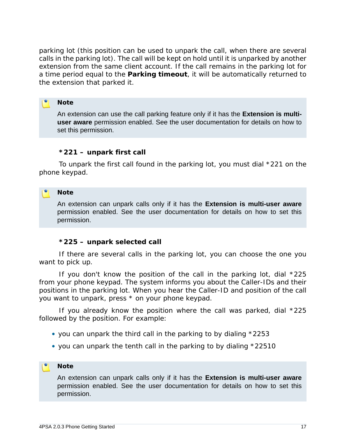parking lot (this position can be used to unpark the call, when there are several calls in the parking lot). The call will be kept on hold until it is unparked by another extension from the same client account. If the call remains in the parking lot for a time period equal to the **Parking timeout**, it will be automatically returned to the extension that parked it.

#### **Note**

An extension can use the call parking feature only if it has the **Extension is multiuser aware** permission enabled. See the user documentation for details on how to set this permission.

#### **\*221 – unpark first call**

To unpark the first call found in the parking lot, you must dial \*221 on the phone keypad.

#### **Note**

An extension can unpark calls only if it has the **Extension is multi-user aware** permission enabled. See the user documentation for details on how to set this permission.

**\*225 – unpark selected call**

If there are several calls in the parking lot, you can choose the one you want to pick up.

If you don't know the position of the call in the parking lot, dial \*225 from your phone keypad. The system informs you about the Caller-IDs and their positions in the parking lot. When you hear the Caller-ID and position of the call you want to unpark, press \* on your phone keypad.

If you already know the position where the call was parked, dial \*225 followed by the position. For example:

- you can unpark the third call in the parking to by dialing \*2253
- you can unpark the tenth call in the parking to by dialing \*22510

#### **Note**

An extension can unpark calls only if it has the **Extension is multi-user aware** permission enabled. See the user documentation for details on how to set this permission.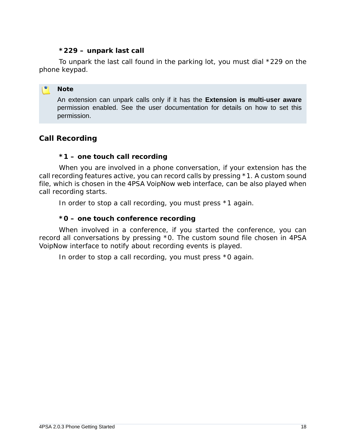#### **\*229 – unpark last call**

To unpark the last call found in the parking lot, you must dial \*229 on the phone keypad.

#### **Note**

An extension can unpark calls only if it has the **Extension is multi-user aware** permission enabled. See the user documentation for details on how to set this permission.

#### <span id="page-17-0"></span>**Call Recording**

#### **\*1 – one touch call recording**

When you are involved in a phone conversation, if your extension has the call recording features active, you can record calls by pressing \*1. A custom sound file, which is chosen in the 4PSA VoipNow web interface, can be also played when call recording starts.

In order to stop a call recording, you must press \*1 again.

**\*0 – one touch conference recording**

When involved in a conference, if you started the conference, you can record all conversations by pressing \*0. The custom sound file chosen in 4PSA VoipNow interface to notify about recording events is played.

In order to stop a call recording, you must press \*0 again.